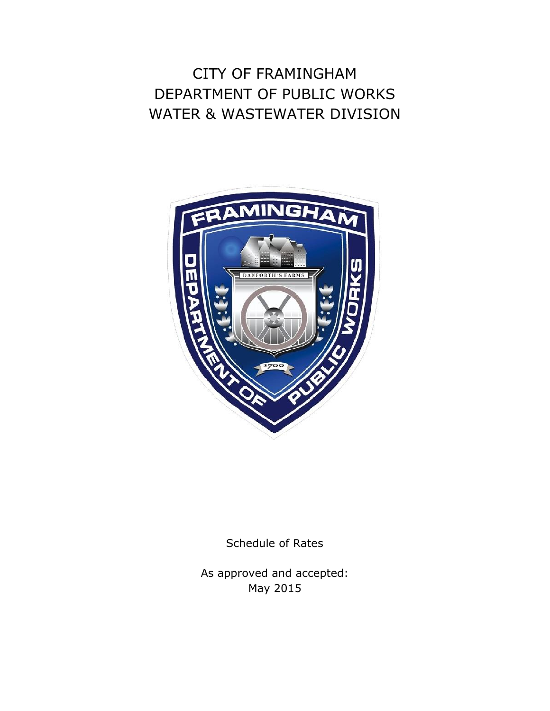## CITY OF FRAMINGHAM DEPARTMENT OF PUBLIC WORKS WATER & WASTEWATER DIVISION



Schedule of Rates

As approved and accepted: May 2015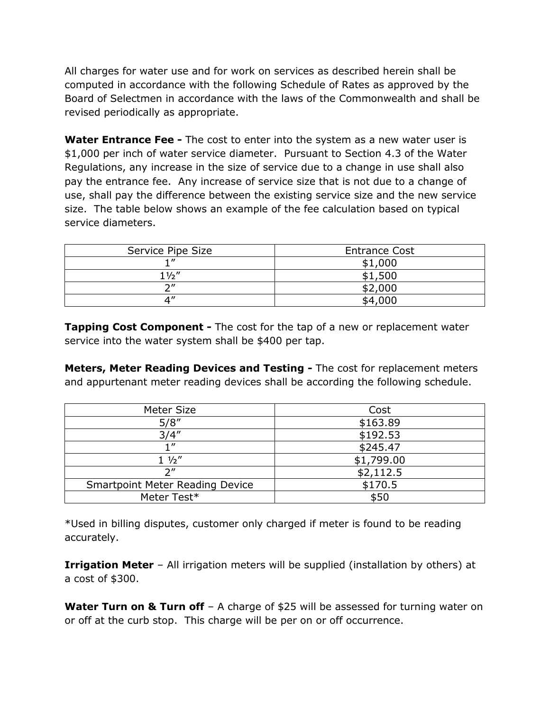All charges for water use and for work on services as described herein shall be computed in accordance with the following Schedule of Rates as approved by the Board of Selectmen in accordance with the laws of the Commonwealth and shall be revised periodically as appropriate.

**Water Entrance Fee -** The cost to enter into the system as a new water user is \$1,000 per inch of water service diameter. Pursuant to Section 4.3 of the Water Regulations, any increase in the size of service due to a change in use shall also pay the entrance fee. Any increase of service size that is not due to a change of use, shall pay the difference between the existing service size and the new service size. The table below shows an example of the fee calculation based on typical service diameters.

| Service Pipe Size | <b>Entrance Cost</b> |
|-------------------|----------------------|
|                   | \$1,000              |
| $1\frac{1}{2}$    | \$1,500              |
| $\bigcap$         | \$2,000              |
|                   | \$4,000              |

**Tapping Cost Component -** The cost for the tap of a new or replacement water service into the water system shall be \$400 per tap.

**Meters, Meter Reading Devices and Testing -** The cost for replacement meters and appurtenant meter reading devices shall be according the following schedule.

| Meter Size                             | Cost       |
|----------------------------------------|------------|
| 5/8''                                  | \$163.89   |
| 3/4''                                  | \$192.53   |
|                                        | \$245.47   |
| $1\frac{1}{2}$                         | \$1,799.00 |
| יי ר                                   | \$2,112.5  |
| <b>Smartpoint Meter Reading Device</b> | \$170.5    |
| Meter Test*                            | \$50       |

\*Used in billing disputes, customer only charged if meter is found to be reading accurately.

**Irrigation Meter** – All irrigation meters will be supplied (installation by others) at a cost of \$300.

**Water Turn on & Turn off** – A charge of \$25 will be assessed for turning water on or off at the curb stop. This charge will be per on or off occurrence.